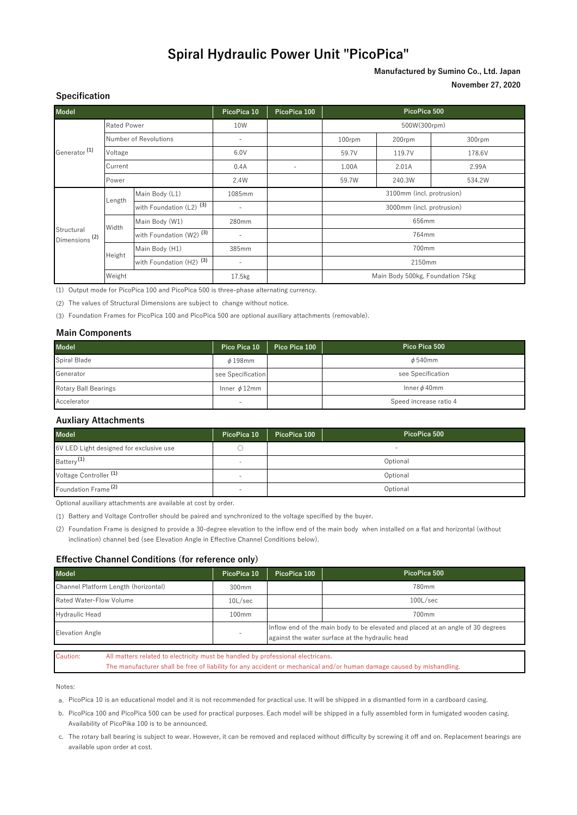## **Spiral Hydraulic Power Unit "PicoPica"**

### **Manufactured by Sumino Co., Ltd. Japan November 27, 2020**

| <b>Model</b>                            |                       |                                     | PicoPica 10              | PicoPica 100 | PicoPica 500                     |        |        |
|-----------------------------------------|-----------------------|-------------------------------------|--------------------------|--------------|----------------------------------|--------|--------|
| Generator <sup>(1)</sup>                | Rated Power           |                                     | 10W                      |              | 500W(300rpm)                     |        |        |
|                                         | Number of Revolutions |                                     | $\overline{\phantom{a}}$ |              | 100rpm                           | 200rpm | 300rpm |
|                                         | Voltage               |                                     | 6.0V                     |              | 59.7V                            | 119.7V | 178.6V |
|                                         | Current               |                                     | 0.4A                     | ٠            | 1.00A                            | 2.01A  | 2.99A  |
|                                         | Power                 |                                     | 2.4W                     |              | 59.7W                            | 240.3W | 534.2W |
| Structural<br>Dimensions <sup>(2)</sup> | Length                | Main Body (L1)                      | 1085mm                   |              | 3100mm (incl. protrusion)        |        |        |
|                                         |                       | with Foundation (L2) <sup>(3)</sup> | ٠                        |              | 3000mm (incl. protrusion)        |        |        |
|                                         | Width                 | Main Body (W1)                      | 280mm                    |              | 656mm                            |        |        |
|                                         |                       | with Foundation (W2) <sup>(3)</sup> | ٠                        |              | 764mm                            |        |        |
|                                         | Height                | Main Body (H1)                      | 385mm                    |              | 700mm                            |        |        |
|                                         |                       | with Foundation (H2) <sup>(3)</sup> | ٠                        |              | 2150mm                           |        |        |
|                                         | Weight                |                                     | 17.5 <sub>kg</sub>       |              | Main Body 500kg, Foundation 75kg |        |        |

(1) Output mode for PicoPica 100 and PicoPica 500 is three-phase alternating currency.

(2) The values of Structural Dimensions are subject to change without notice.

(3) Foundation Frames for PicoPica 100 and PicoPica 500 are optional auxiliary attachments (removable).

#### **Main Components**

**Specification**

| <b>Model</b>                | Pico Pica 10      | Pico Pica 100 | Pico Pica 500          |
|-----------------------------|-------------------|---------------|------------------------|
| Spiral Blade                | $\phi$ 198mm      |               | $\phi$ 540mm           |
| Generator                   | see Specification |               | see Specification      |
| <b>Rotary Ball Bearings</b> | Inner $\phi$ 12mm |               | Inner $\phi$ 40mm      |
| Accelerator                 |                   |               | Speed increase ratio 4 |

#### **Auxliary Attachments**

| <b>Model</b>                            | PicoPica 10              | PicoPica 100 | PicoPica 500 |  |
|-----------------------------------------|--------------------------|--------------|--------------|--|
| 6V LED Light designed for exclusive use |                          |              | -            |  |
| Battery <sup>(1)</sup>                  | $\overline{\phantom{a}}$ |              | Optional     |  |
| Voltage Controller <sup>(1)</sup>       | -                        |              | Optional     |  |
| Foundation Frame <sup>(2)</sup>         | $\overline{\phantom{0}}$ | Optional     |              |  |

Optional auxiliary attachments are available at cost by order.

(1) Battery and Voltage Controller should be paired and synchronized to the voltage specified by the buyer.

(2) Foundation Frame is designed to provide a 30-degree elevation to the inflow end of the main body when installed on a flat and horizontal (without inclination) channel bed (see Elevation Angle in Effective Channel Conditions below).

#### **Effective Channel Conditions (for reference only)**

| <b>Model</b>                         | PicoPica 10       | PicoPica 100                                                                                                                       | PicoPica 500   |  |
|--------------------------------------|-------------------|------------------------------------------------------------------------------------------------------------------------------------|----------------|--|
| Channel Platform Length (horizontal) | 300mm             |                                                                                                                                    | 780mm          |  |
| Rated Water-Flow Volume              | $10$ L/sec        |                                                                                                                                    | $100$ L $/sec$ |  |
| <b>Hydraulic Head</b>                | 100 <sub>mm</sub> |                                                                                                                                    | 700mm          |  |
| <b>Elevation Angle</b>               |                   | Inflow end of the main body to be elevated and placed at an angle of 30 degrees<br>against the water surface at the hydraulic head |                |  |

Caution: All matters related to electricity must be handled by professional electricans. The manufacturer shall be free of liability for any accident or mechanical and/or human damage caused by mishandling.

Notes:

a. PicoPica 10 is an educational model and it is not recommended for practical use. It will be shipped in a dismantled form in a cardboard casing.

b. PicoPica 100 and PicoPica 500 can be used for practical purposes. Each model will be shipped in a fully assembled form in fumigated wooden casing. Availability of PicoPika 100 is to be announced.

c. The rotary ball bearing is subject to wear. However, it can be removed and replaced without difficulty by screwing it off and on. Replacement bearings are available upon order at cost.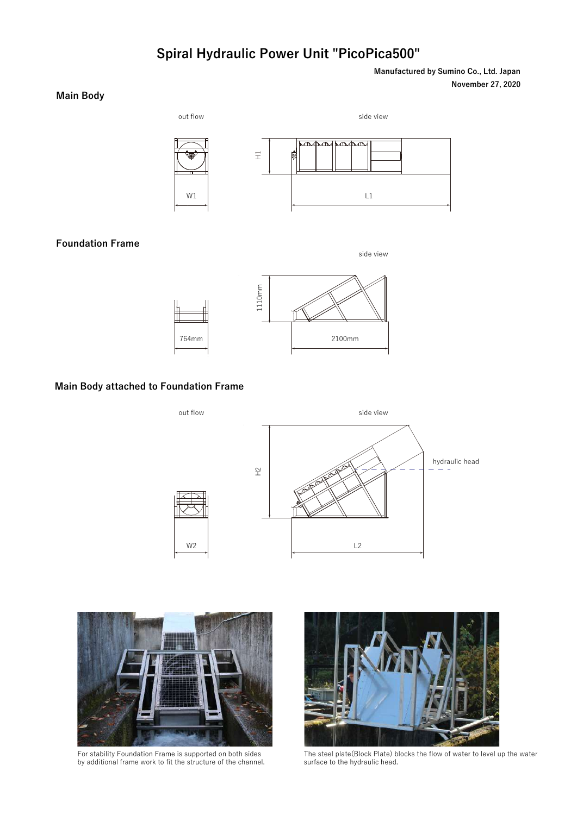# **Spiral Hydraulic Power Unit "PicoPica500"**

out flow side view side view

**November 27, 2020 Manufactured by Sumino Co., Ltd. Japan**

### **Main Body**

W1



## **Foundation Frame**

side view



#### **Main Body attached to Foundation Frame**





For stability Foundation Frame is supported on both sides by additional frame work to fit the structure of the channel.



The steel plate(Block Plate) blocks the flow of water to level up the water surface to the hydraulic head.